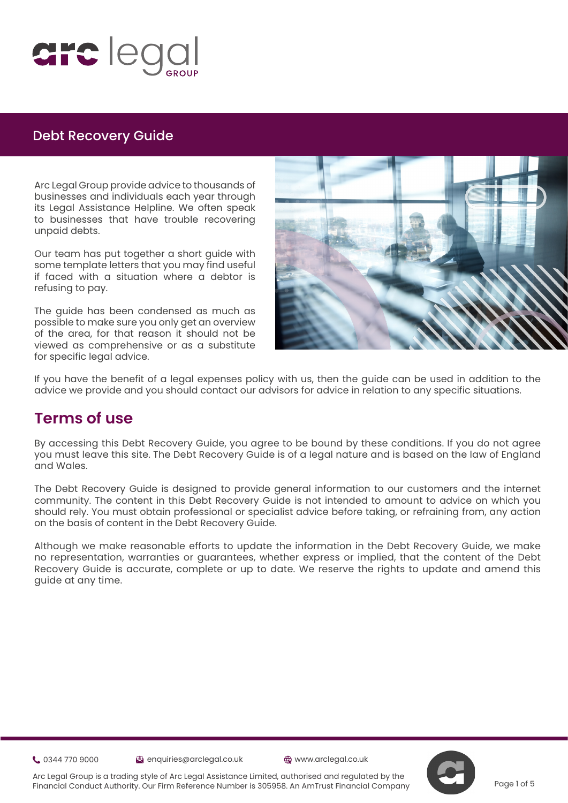

Arc Legal Group provide advice to thousands of businesses and individuals each year through its Legal Assistance Helpline. We often speak to businesses that have trouble recovering unpaid debts.

Our team has put together a short guide with some template letters that you may find useful if faced with a situation where a debtor is refusing to pay.

The guide has been condensed as much as possible to make sure you only get an overview of the area, for that reason it should not be viewed as comprehensive or as a substitute for specific legal advice.



If you have the benefit of a legal expenses policy with us, then the guide can be used in addition to the advice we provide and you should contact our advisors for advice in relation to any specific situations.

## **Terms of use**

By accessing this Debt Recovery Guide, you agree to be bound by these conditions. If you do not agree you must leave this site. The Debt Recovery Guide is of a legal nature and is based on the law of England and Wales.

The Debt Recovery Guide is designed to provide general information to our customers and the internet community. The content in this Debt Recovery Guide is not intended to amount to advice on which you should rely. You must obtain professional or specialist advice before taking, or refraining from, any action on the basis of content in the Debt Recovery Guide.

Although we make reasonable efforts to update the information in the Debt Recovery Guide, we make no representation, warranties or guarantees, whether express or implied, that the content of the Debt Recovery Guide is accurate, complete or up to date. We reserve the rights to update and amend this guide at any time.

0344 770 9000 enquiries@arclegal.co.uk www.arclegal.co.uk





Arc Legal Group is a trading style of Arc Legal Assistance Limited, authorised and regulated by the Financial Conduct Authority. Our Firm Reference Number is 305958. An AmTrust Financial Company

Page 1 of 5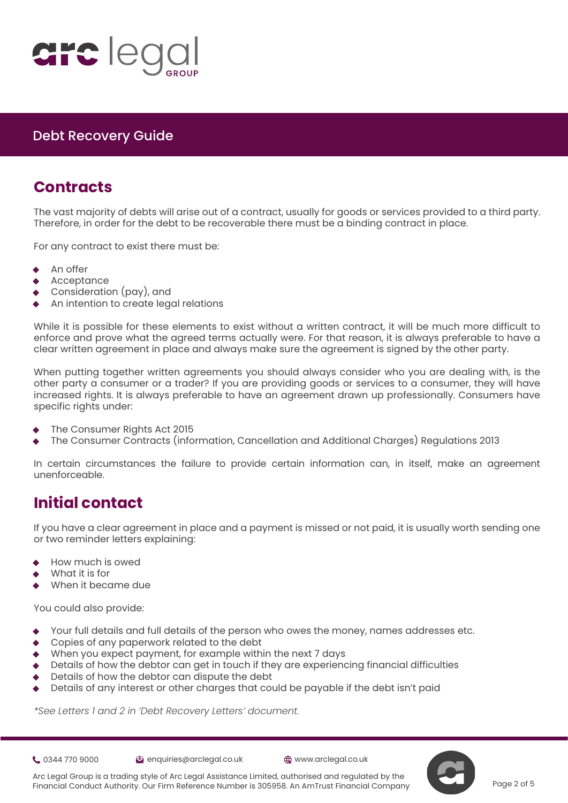

## **Contracts**

The vast majority of debts will arise out of a contract, usually for goods or services provided to a third party. Therefore, in order for the debt to be recoverable there must be a binding contract in place.

For [a](https://www.justice.gov.uk/courts/procedure-rules/civil/protocol)ny contract to exist there must be:

- An offer
- **Acceptance**
- Consideration (pay), and
- An intention to create legal relations

While it is possible for these elements to exist without a written contract, it will be much more difficult to enforce and prove what the agreed terms actually were. For that reason, it is always preferable to have a clear written agreement in place and always make sure the agreement is signed by the other party.

When putting together written agreements you should always consider who you are dealing with, is the other party a consumer or a trader? If you are providing goods or services to a consumer, they will have increased rights. It is always preferable to have an agreement drawn up professionally. Consumers have specific rights under:

- The Consumer Rights Act 2015
- ◊ The Consumer Contracts (information, Cancellation and Additional Charges) Regulations 2013

In certain circumstances the failure to provide certain information can, in itself, make an agreement unenforceable.

# **Initial contact**

If you have a clear agreement in place and a payment is missed or not paid, it is usually worth sending one or two reminder letters explaining:

- How much is owed
- What it is for
- When it became due

You could also provide:

- Your full details and full details of the person who owes the money, names addresses etc.
- Copies of any paperwork related to the debt
- When you expect payment, for example within the next 7 days
- Details of how the debtor can get in touch if they are experiencing financial difficulties
- Details of how the debtor can dispute the debt
- Details of any interest or other charges that could be payable if the debt isn't paid

*\*See Letters 1 and 2 in 'Debt Recovery Letters' document.*



- 0344 770 9000 enquiries@arclegal.co.uk www.arclegal.co.uk
	-

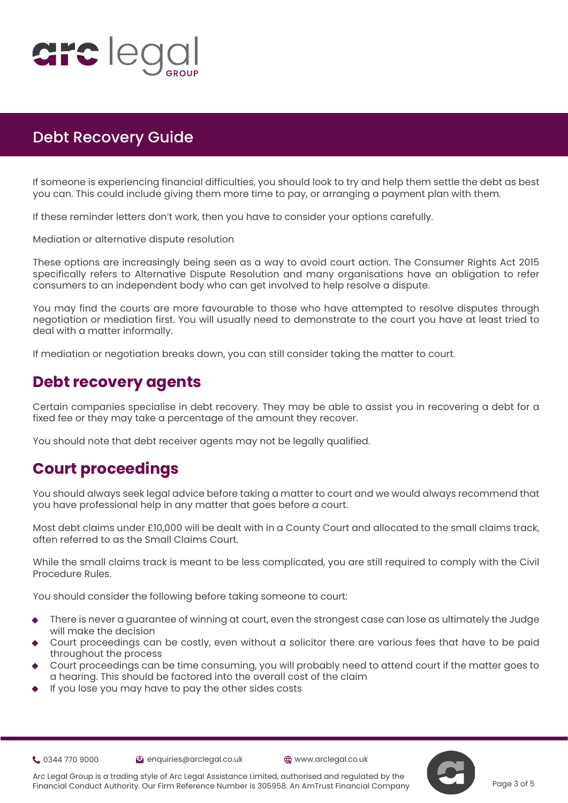

 you can. This could include giving them more time to pay, or arranging a payment plan with them. If someone is experiencing financial difficulties, you should look to try and help them settle the debt as best

If these reminder letters don't work, then you have to consider your options carefully.

Me[di](https://www.justice.gov.uk/courts/procedure-rules/civil/protocol)ation or alternative dispute resolution

These options are increasingly being seen as a way to avoid court action. The Consumer Rights Act 2015 specifically refers to Alternative Dispute Resolution and many organisations have an obligation to refer consumers to an independent body who can get involved to help resolve a dispute.

You may find the courts are more favourable to those who have attempted to resolve disputes through negotiation or mediation first. You will usually need to demonstrate to the court you have at least tried to deal with a matter informally.

If mediation or negotiation breaks down, you can still consider taking the matter to court.

## **Debt recovery agents**

Certain companies specialise in debt recovery. They may be able to assist you in recovering a debt for a fixed fee or they may take a percentage of the amount they recover.

You should note that debt receiver agents may not be legally qualified.

# **Court proceedings**

You should always seek legal advice before taking a matter to court and we would always recommend that you have professional help in any matter that goes before a court.

Most debt claims under £10,000 will be dealt with in a County Court and allocated to the small claims track, often referred to as the Small Claims Court.

While the small claims track is meant to be less complicated, you are still required to comply with the Civil Procedure Rules.

You should consider the following before taking someone to court:

- There is never a guarantee of winning at court, even the strongest case can lose as ultimately the Judge will make the decision
- Court proceedings can be costly, even without a solicitor there are various fees that have to be paid throughout the process
- Court proceedings can be time consuming, you will probably need to attend court if the matter goes to a hearing. This should be factored into the overall cost of the claim
- If you lose you may have to pay the other sides costs

- 0344 770 9000 enquiries@arclegal.co.uk www.arclegal.co.uk
- 



Arc Legal Group is a trading style of Arc Legal Assistance Limited, authorised and regulated by the Financial Conduct Authority. Our Firm Reference Number is 305958. An AmTrust Financial Company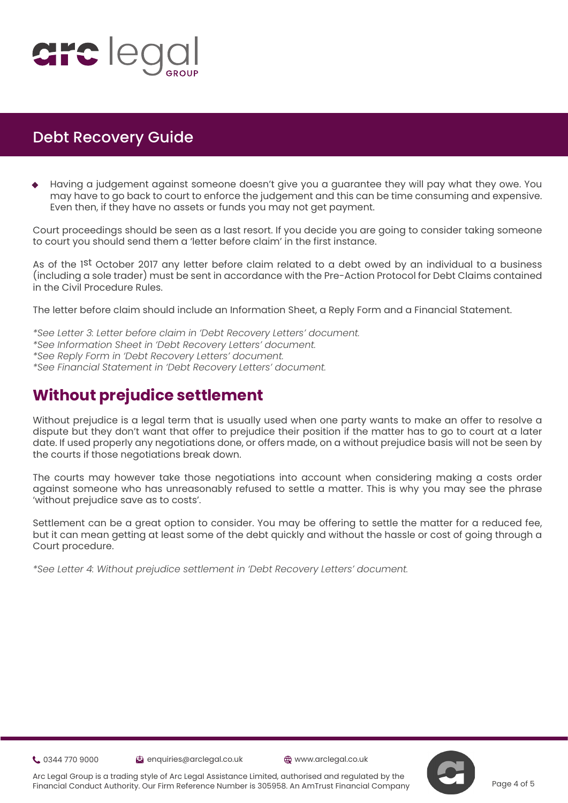

 ◊ Having a judgement against someone doesn't give you a guarantee they will pay what they owe. You may have to go back to court to enforce the judgement and this can be time consuming and expensive. Even then, if they have no assets or funds you may not get payment.

Court proceedings should be seen as a last resort. If you decide you are going to consider taking someone to c[o](https://www.justice.gov.uk/courts/procedure-rules/civil/protocol)urt you should send them a 'letter before claim' in the first instance.

As of the 1<sup>st</sup> October 2017 any letter before claim related to a debt owed by an individual to a business (including a sole trader) must be sent in accordance with the Pre-Action Protocol for Debt Claims contained in the Civil Procedure Rules.

The letter before claim should include an Information Sheet, a Reply Form and a Financial Statement.

*\*See Letter 3: Letter before claim in 'Debt Recovery Letters' document. \*See Information Sheet in 'Debt Recovery Letters' document. \*See Reply Form in 'Debt Recovery Letters' document. \*See Financial Statement in 'Debt Recovery Letters' document.*

# **Without prejudice settlement**

Without prejudice is a legal term that is usually used when one party wants to make an offer to resolve a dispute but they don't want that offer to prejudice their position if the matter has to go to court at a later date. If used properly any negotiations done, or offers made, on a without prejudice basis will not be seen by the courts if those negotiations break down.

The courts may however take those negotiations into account when considering making a costs order against someone who has unreasonably refused to settle a matter. This is why you may see the phrase 'without prejudice save as to costs'.

Settlement can be a great option to consider. You may be offering to settle the matter for a reduced fee, but it can mean getting at least some of the debt quickly and without the hassle or cost of going through a Court procedure.

*\*See Letter 4: Without prejudice settlement in 'Debt Recovery Letters' document.*

0344 770 9000 enquiries@arclegal.co.uk www.arclegal.co.uk





Arc Legal Group is a trading style of Arc Legal Assistance Limited, authorised and regulated by the Financial Conduct Authority. Our Firm Reference Number is 305958. An AmTrust Financial Company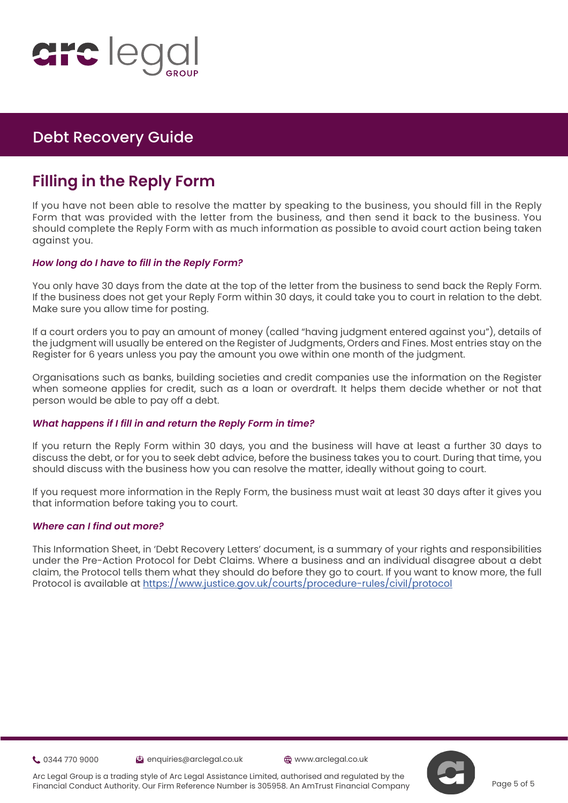

# **Filling in the Reply Form**

If you have not been able to resolve the matter by speaking to the business, you should fill in the Reply Form that was provided with the letter from the business, and then send it back to the business. You should complete the Reply Form with as much information as possible to avoid court action being taken aga[in](https://www.justice.gov.uk/courts/procedure-rules/civil/protocol)st you.

#### *How long do I have to fill in the Reply Form?*

You only have 30 days from the date at the top of the letter from the business to send back the Reply Form. If the business does not get your Reply Form within 30 days, it could take you to court in relation to the debt. Make sure you allow time for posting.

If a court orders you to pay an amount of money (called "having judgment entered against you"), details of the judgment will usually be entered on the Register of Judgments, Orders and Fines. Most entries stay on the Register for 6 years unless you pay the amount you owe within one month of the judgment.

Organisations such as banks, building societies and credit companies use the information on the Register when someone applies for credit, such as a loan or overdraft. It helps them decide whether or not that person would be able to pay off a debt.

#### *What happens if I fill in and return the Reply Form in time?*

If you return the Reply Form within 30 days, you and the business will have at least a further 30 days to discuss the debt, or for you to seek debt advice, before the business takes you to court. During that time, you should discuss with the business how you can resolve the matter, ideally without going to court.

If you request more information in the Reply Form, the business must wait at least 30 days after it gives you that information before taking you to court.

#### *Where can I find out more?*

This Information Sheet, in 'Debt Recovery Letters' document, is a summary of your rights and responsibilities under the Pre-Action Protocol for Debt Claims. Where a business and an individual disagree about a debt claim, the Protocol tells them what they should do before they go to court. If you want to know more, the full Protocol is available at <https://www.justice.gov.uk/courts/procedure-rules/civil/protocol>

0344 770 9000 enquiries@arclegal.co.uk www.arclegal.co.uk





Arc Legal Group is a trading style of Arc Legal Assistance Limited, authorised and regulated by the Financial Conduct Authority. Our Firm Reference Number is 305958. An AmTrust Financial Company

Page 5 of 5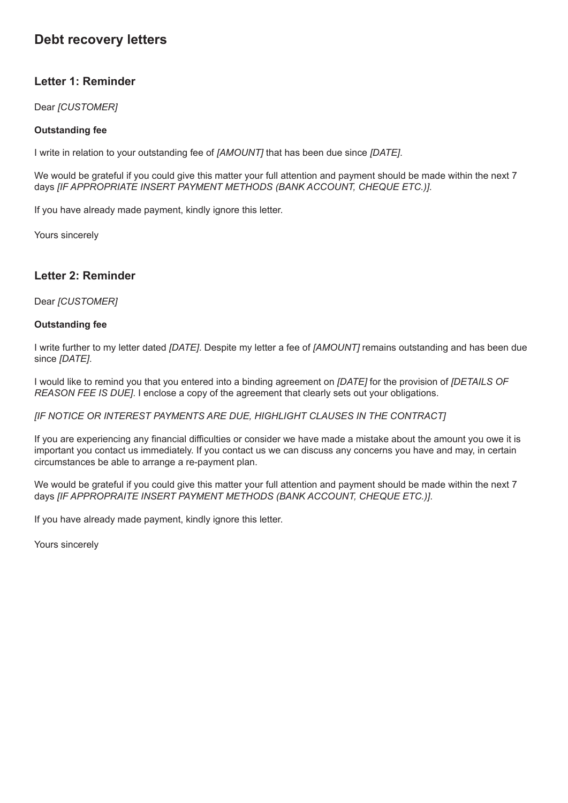## **Debt recovery letters**

### **Letter 1: Reminder**

Dear *[CUSTOMER]*

#### **Outstanding fee**

I write in relation to your outstanding fee of *[AMOUNT]* that has been due since *[DATE]*.

We would be grateful if you could give this matter your full attention and payment should be made within the next 7 days *[IF APPROPRIATE INSERT PAYMENT METHODS (BANK ACCOUNT, CHEQUE ETC.)]*.

If you have already made payment, kindly ignore this letter.

Yours sincerely

### **Letter 2: Reminder**

Dear *[CUSTOMER]*

#### **Outstanding fee**

I write further to my letter dated *[DATE]*. Despite my letter a fee of *[AMOUNT]* remains outstanding and has been due since *[DATE]*.

I would like to remind you that you entered into a binding agreement on *[DATE]* for the provision of *[DETAILS OF REASON FEE IS DUE]*. I enclose a copy of the agreement that clearly sets out your obligations.

*[IF NOTICE OR INTEREST PAYMENTS ARE DUE, HIGHLIGHT CLAUSES IN THE CONTRACT]*

If you are experiencing any financial difficulties or consider we have made a mistake about the amount you owe it is important you contact us immediately. If you contact us we can discuss any concerns you have and may, in certain circumstances be able to arrange a re-payment plan.

We would be grateful if you could give this matter your full attention and payment should be made within the next 7 days *[IF APPROPRAITE INSERT PAYMENT METHODS (BANK ACCOUNT, CHEQUE ETC.)]*.

If you have already made payment, kindly ignore this letter.

Yours sincerely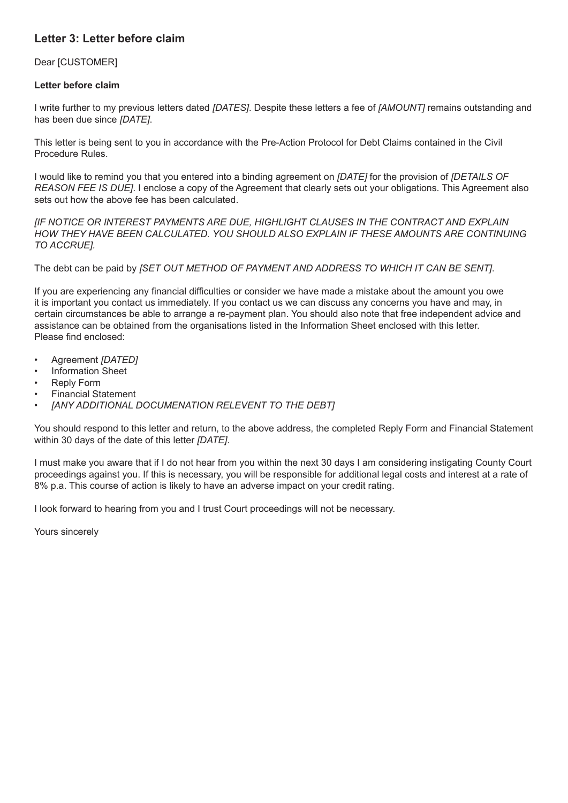### **Letter 3: Letter before claim**

#### Dear [CUSTOMER]

#### **Letter before claim**

I write further to my previous letters dated *[DATES]*. Despite these letters a fee of *[AMOUNT]* remains outstanding and has been due since *[DATE]*.

This letter is being sent to you in accordance with the Pre-Action Protocol for Debt Claims contained in the Civil Procedure Rules.

I would like to remind you that you entered into a binding agreement on *[DATE]* for the provision of *[DETAILS OF REASON FEE IS DUE]*. I enclose a copy of the Agreement that clearly sets out your obligations. This Agreement also sets out how the above fee has been calculated.

*[IF NOTICE OR INTEREST PAYMENTS ARE DUE, HIGHLIGHT CLAUSES IN THE CONTRACT AND EXPLAIN HOW THEY HAVE BEEN CALCULATED. YOU SHOULD ALSO EXPLAIN IF THESE AMOUNTS ARE CONTINUING TO ACCRUE].*

The debt can be paid by *[SET OUT METHOD OF PAYMENT AND ADDRESS TO WHICH IT CAN BE SENT]*.

If you are experiencing any financial difficulties or consider we have made a mistake about the amount you owe it is important you contact us immediately. If you contact us we can discuss any concerns you have and may, in certain circumstances be able to arrange a re-payment plan. You should also note that free independent advice and assistance can be obtained from the organisations listed in the Information Sheet enclosed with this letter. Please find enclosed:

- Agreement *[DATED]*
- Information Sheet
- **Reply Form**
- Financial Statement
- *• [ANY ADDITIONAL DOCUMENATION RELEVENT TO THE DEBT]*

You should respond to this letter and return, to the above address, the completed Reply Form and Financial Statement within 30 days of the date of this letter *[DATE]*.

I must make you aware that if I do not hear from you within the next 30 days I am considering instigating County Court proceedings against you. If this is necessary, you will be responsible for additional legal costs and interest at a rate of 8% p.a. This course of action is likely to have an adverse impact on your credit rating.

I look forward to hearing from you and I trust Court proceedings will not be necessary.

Yours sincerely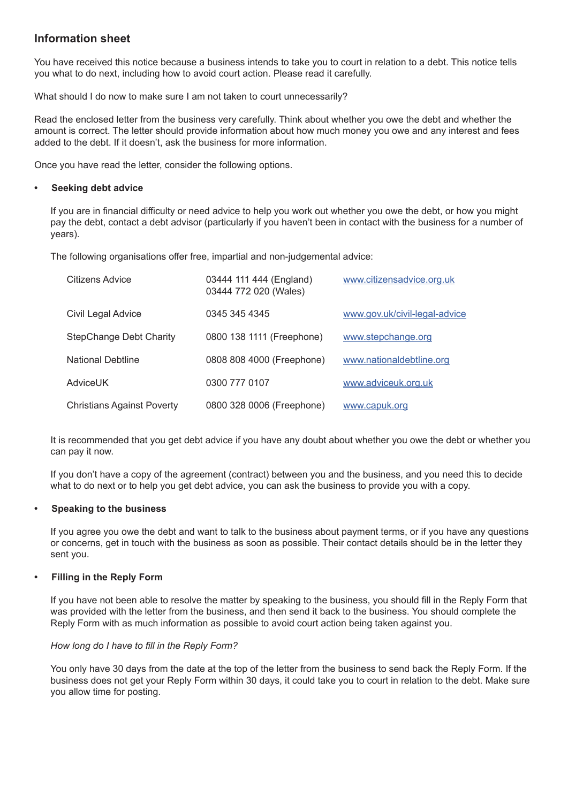### **Information sheet**

You have received this notice because a business intends to take you to court in relation to a debt. This notice tells you what to do next, including how to avoid court action. Please read it carefully.

What should I do now to make sure I am not taken to court unnecessarily?

Read the enclosed letter from the business very carefully. Think about whether you owe the debt and whether the amount is correct. The letter should provide information about how much money you owe and any interest and fees added to the debt. If it doesn't, ask the business for more information.

Once you have read the letter, consider the following options.

#### **• Seeking debt advice**

If you are in financial difficulty or need advice to help you work out whether you owe the debt, or how you might pay the debt, contact a debt advisor (particularly if you haven't been in contact with the business for a number of years).

The following organisations offer free, impartial and non-judgemental advice:

| Citizens Advice                   | 03444 111 444 (England)<br>03444 772 020 (Wales) | www.citizensadvice.org.uk     |
|-----------------------------------|--------------------------------------------------|-------------------------------|
| Civil Legal Advice                | 0345 345 4345                                    | www.gov.uk/civil-legal-advice |
| <b>StepChange Debt Charity</b>    | 0800 138 1111 (Freephone)                        | www.stepchange.org            |
| <b>National Debtline</b>          | 0808 808 4000 (Freephone)                        | www.nationaldebtline.org      |
| AdviceUK                          | 0300 777 0107                                    | www.adviceuk.org.uk           |
| <b>Christians Against Poverty</b> | 0800 328 0006 (Freephone)                        | www.capuk.org                 |

It is recommended that you get debt advice if you have any doubt about whether you owe the debt or whether you can pay it now.

If you don't have a copy of the agreement (contract) between you and the business, and you need this to decide what to do next or to help you get debt advice, you can ask the business to provide you with a copy.

#### **• Speaking to the business**

If you agree you owe the debt and want to talk to the business about payment terms, or if you have any questions or concerns, get in touch with the business as soon as possible. Their contact details should be in the letter they sent you.

#### **• Filling in the Reply Form**

If you have not been able to resolve the matter by speaking to the business, you should fill in the Reply Form that was provided with the letter from the business, and then send it back to the business. You should complete the Reply Form with as much information as possible to avoid court action being taken against you.

#### *How long do I have to fill in the Reply Form?*

You only have 30 days from the date at the top of the letter from the business to send back the Reply Form. If the business does not get your Reply Form within 30 days, it could take you to court in relation to the debt. Make sure you allow time for posting.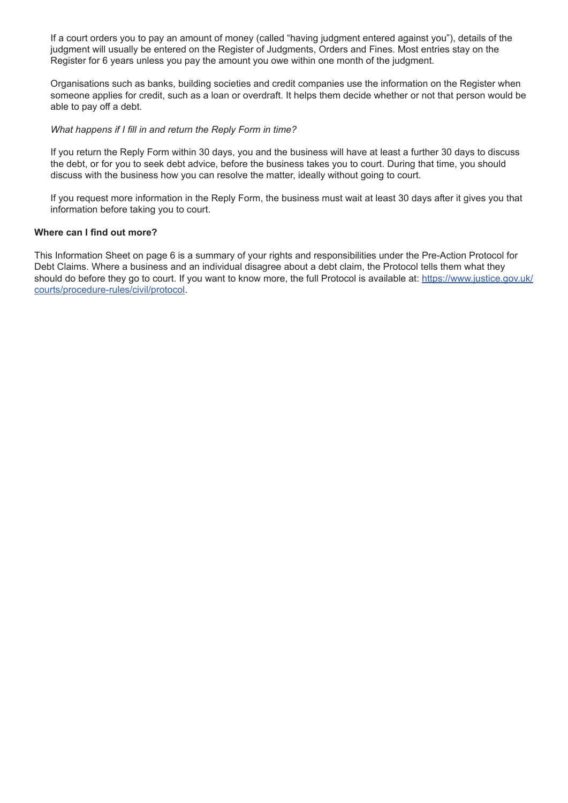If a court orders you to pay an amount of money (called "having judgment entered against you"), details of the judgment will usually be entered on the Register of Judgments, Orders and Fines. Most entries stay on the Register for 6 years unless you pay the amount you owe within one month of the judgment.

Organisations such as banks, building societies and credit companies use the information on the Register when someone applies for credit, such as a loan or overdraft. It helps them decide whether or not that person would be able to pay off a debt.

#### *What happens if I fill in and return the Reply Form in time?*

If you return the Reply Form within 30 days, you and the business will have at least a further 30 days to discuss the debt, or for you to seek debt advice, before the business takes you to court. During that time, you should discuss with the business how you can resolve the matter, ideally without going to court.

If you request more information in the Reply Form, the business must wait at least 30 days after it gives you that information before taking you to court.

#### **Where can I find out more?**

This Information Sheet on page 6 is a summary of your rights and responsibilities under the Pre-Action Protocol for Debt Claims. Where a business and an individual disagree about a debt claim, the Protocol tells them what they should do before they go to court. If you want to know more, the full Protocol is available at: [https://www.justice.gov.uk/](https://www.justice.gov.uk/courts/procedure-rules/civil/protocol.) [courts/procedure-rules/civil/protocol.](https://www.justice.gov.uk/courts/procedure-rules/civil/protocol.)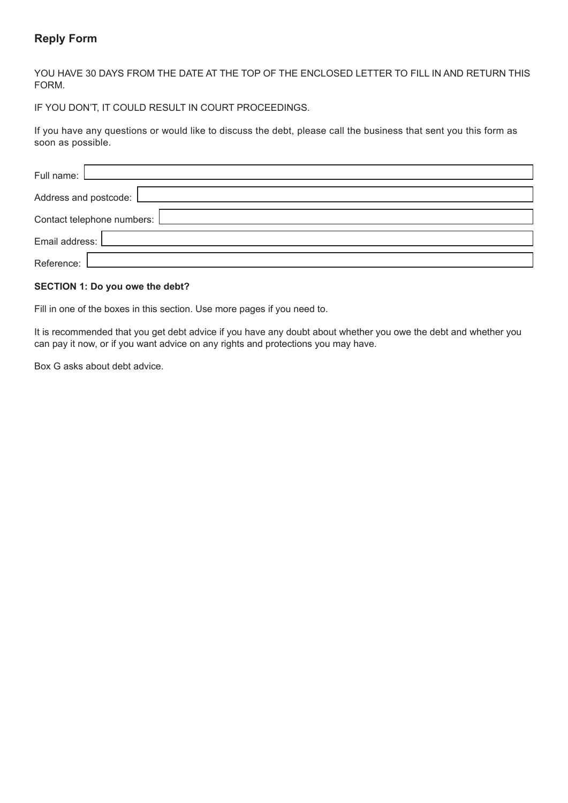### **Reply Form**

YOU HAVE 30 DAYS FROM THE DATE AT THE TOP OF THE ENCLOSED LETTER TO FILL IN AND RETURN THIS FORM.

IF YOU DON'T, IT COULD RESULT IN COURT PROCEEDINGS.

If you have any questions or would like to discuss the debt, please call the business that sent you this form as soon as possible.

| Full name: [ <b>Legendary</b>  |
|--------------------------------|
| Address and postcode:   ______ |
| Contact telephone numbers: [   |
| Email address: [               |
| Reference:                     |

#### **SECTION 1: Do you owe the debt?**

Fill in one of the boxes in this section. Use more pages if you need to.

It is recommended that you get debt advice if you have any doubt about whether you owe the debt and whether you can pay it now, or if you want advice on any rights and protections you may have.

Box G asks about debt advice.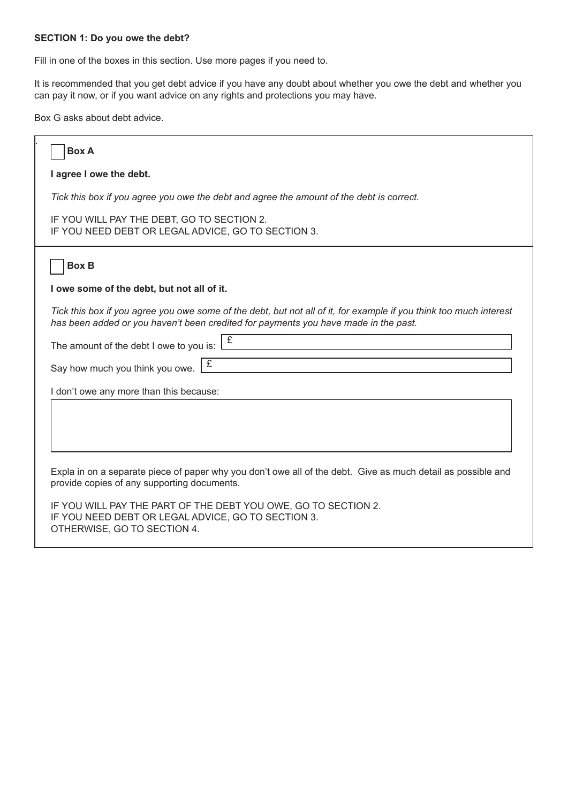#### **SECTION 1: Do you owe the debt?**

Fill in one of the boxes in this section. Use more pages if you need to.

It is recommended that you get debt advice if you have any doubt about whether you owe the debt and whether you can pay it now, or if you want advice on any rights and protections you may have.

Box G asks about debt advice.

| <b>Box A</b>                                                                                                                                                                                              |
|-----------------------------------------------------------------------------------------------------------------------------------------------------------------------------------------------------------|
| I agree I owe the debt.                                                                                                                                                                                   |
| Tick this box if you agree you owe the debt and agree the amount of the debt is correct.                                                                                                                  |
| IF YOU WILL PAY THE DEBT, GO TO SECTION 2.<br>IF YOU NEED DEBT OR LEGAL ADVICE, GO TO SECTION 3.                                                                                                          |
| <b>Box B</b>                                                                                                                                                                                              |
| I owe some of the debt, but not all of it.                                                                                                                                                                |
| Tick this box if you agree you owe some of the debt, but not all of it, for example if you think too much interest<br>has been added or you haven't been credited for payments you have made in the past. |
| £<br>The amount of the debt I owe to you is:                                                                                                                                                              |
| £<br>Say how much you think you owe.                                                                                                                                                                      |
| I don't owe any more than this because:                                                                                                                                                                   |
|                                                                                                                                                                                                           |
|                                                                                                                                                                                                           |
| Expla in on a separate piece of paper why you don't owe all of the debt. Give as much detail as possible and<br>provide copies of any supporting documents.                                               |
| IF YOU WILL PAY THE PART OF THE DEBT YOU OWE, GO TO SECTION 2.<br>IF YOU NEED DEBT OR LEGAL ADVICE, GO TO SECTION 3.<br>OTHERWISE, GO TO SECTION 4.                                                       |
|                                                                                                                                                                                                           |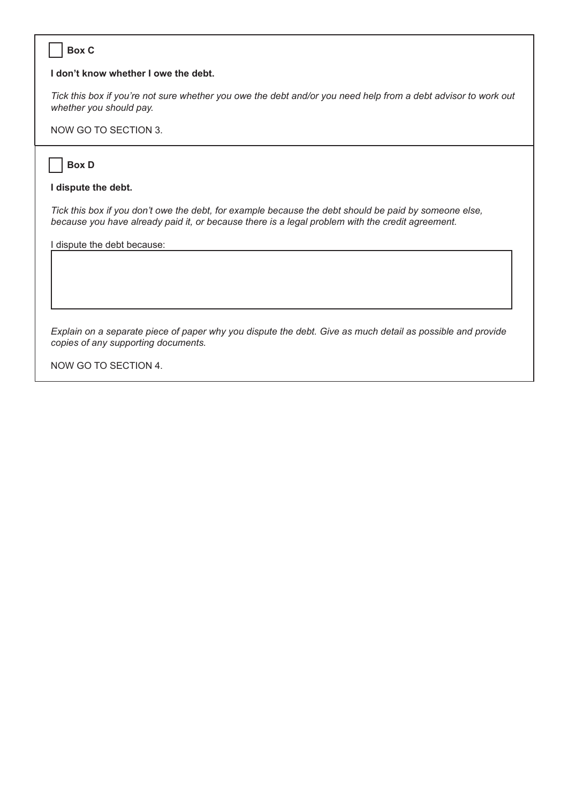#### **Box C**

#### **I don't know whether I owe the debt.**

*Tick this box if you're not sure whether you owe the debt and/or you need help from a debt advisor to work out whether you should pay.*

NOW GO TO SECTION 3.

#### **Box D**

 $\overline{\phantom{a}}$ 

#### **I dispute the debt.**

*Tick this box if you don't owe the debt, for example because the debt should be paid by someone else, because you have already paid it, or because there is a legal problem with the credit agreement.*

I dispute the debt because:

*Explain on a separate piece of paper why you dispute the debt. Give as much detail as possible and provide copies of any supporting documents.*

NOW GO TO SECTION 4.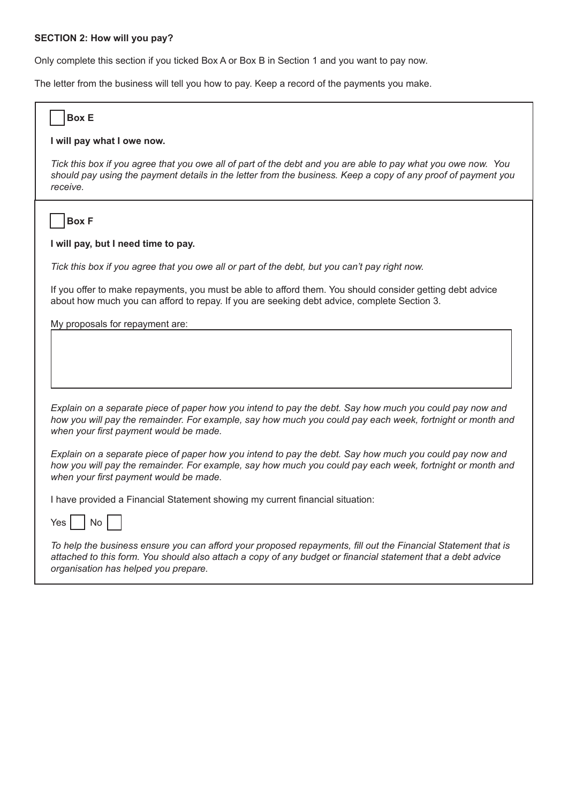#### **SECTION 2: How will you pay?**

Only complete this section if you ticked Box A or Box B in Section 1 and you want to pay now.

The letter from the business will tell you how to pay. Keep a record of the payments you make.

| <b>Box E</b>                                                                                                                                                                                                                                                          |
|-----------------------------------------------------------------------------------------------------------------------------------------------------------------------------------------------------------------------------------------------------------------------|
| I will pay what I owe now.                                                                                                                                                                                                                                            |
| Tick this box if you agree that you owe all of part of the debt and you are able to pay what you owe now. You<br>should pay using the payment details in the letter from the business. Keep a copy of any proof of payment you<br>receive.                            |
| <b>Box F</b>                                                                                                                                                                                                                                                          |
| I will pay, but I need time to pay.                                                                                                                                                                                                                                   |
| Tick this box if you agree that you owe all or part of the debt, but you can't pay right now.                                                                                                                                                                         |
| If you offer to make repayments, you must be able to afford them. You should consider getting debt advice<br>about how much you can afford to repay. If you are seeking debt advice, complete Section 3.                                                              |
| My proposals for repayment are:                                                                                                                                                                                                                                       |
|                                                                                                                                                                                                                                                                       |
| Explain on a separate piece of paper how you intend to pay the debt. Say how much you could pay now and<br>how you will pay the remainder. For example, say how much you could pay each week, fortnight or month and<br>when your first payment would be made.        |
| Explain on a separate piece of paper how you intend to pay the debt. Say how much you could pay now and<br>how you will pay the remainder. For example, say how much you could pay each week, fortnight or month and<br>when your first payment would be made.        |
| I have provided a Financial Statement showing my current financial situation:                                                                                                                                                                                         |
| No<br>Yes                                                                                                                                                                                                                                                             |
| To help the business ensure you can afford your proposed repayments, fill out the Financial Statement that is<br>attached to this form. You should also attach a copy of any budget or financial statement that a debt advice<br>organisation has helped you prepare. |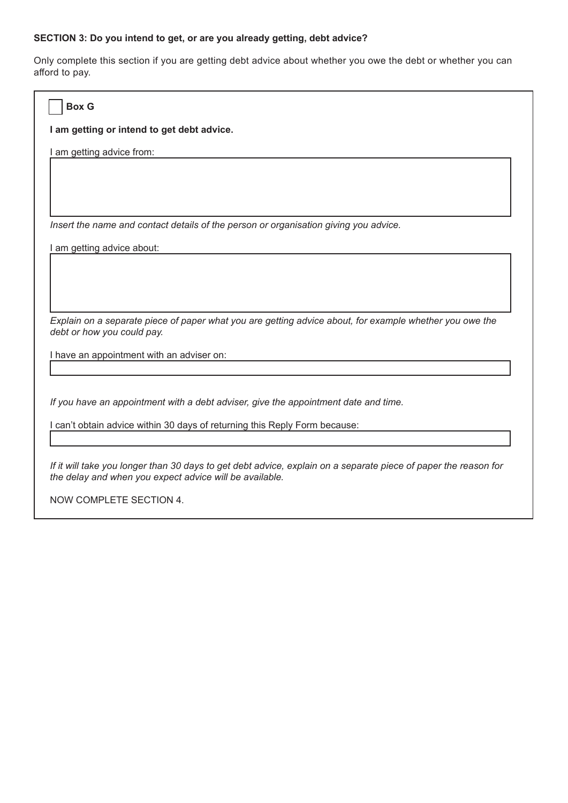### **SECTION 3: Do you intend to get, or are you already getting, debt advice?**

Only complete this section if you are getting debt advice about whether you owe the debt or whether you can afford to pay.

| <b>Box G</b>                                                                                                                                                               |
|----------------------------------------------------------------------------------------------------------------------------------------------------------------------------|
| I am getting or intend to get debt advice.                                                                                                                                 |
| I am getting advice from:                                                                                                                                                  |
|                                                                                                                                                                            |
|                                                                                                                                                                            |
| Insert the name and contact details of the person or organisation giving you advice.                                                                                       |
| I am getting advice about:                                                                                                                                                 |
|                                                                                                                                                                            |
|                                                                                                                                                                            |
| Explain on a separate piece of paper what you are getting advice about, for example whether you owe the<br>debt or how you could pay.                                      |
| I have an appointment with an adviser on:                                                                                                                                  |
|                                                                                                                                                                            |
| If you have an appointment with a debt adviser, give the appointment date and time.                                                                                        |
| I can't obtain advice within 30 days of returning this Reply Form because:                                                                                                 |
|                                                                                                                                                                            |
| If it will take you longer than 30 days to get debt advice, explain on a separate piece of paper the reason for<br>the delay and when you expect advice will be available. |
| NOW COMPLETE SECTION 4.                                                                                                                                                    |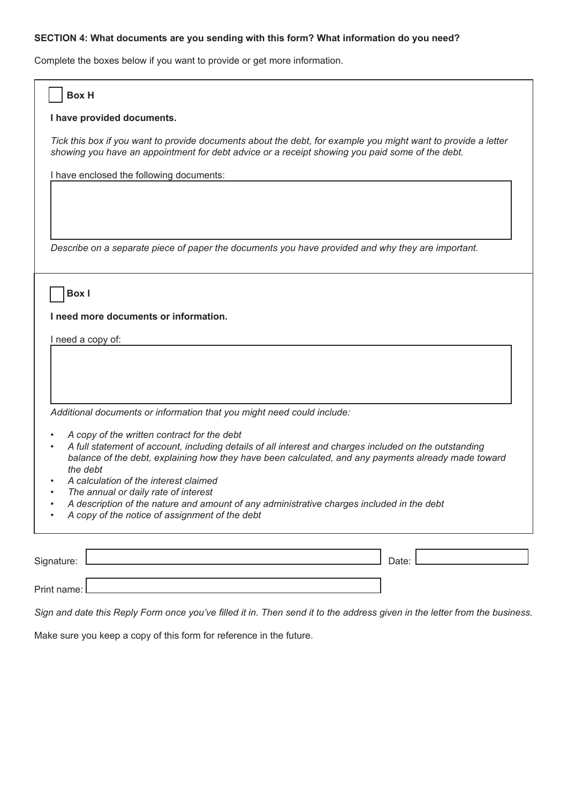#### **SECTION 4: What documents are you sending with this form? What information do you need?**

Complete the boxes below if you want to provide or get more information.

| <b>Box H</b>                                                                                                                                                                                                     |
|------------------------------------------------------------------------------------------------------------------------------------------------------------------------------------------------------------------|
| I have provided documents.                                                                                                                                                                                       |
| Tick this box if you want to provide documents about the debt, for example you might want to provide a letter<br>showing you have an appointment for debt advice or a receipt showing you paid some of the debt. |
| I have enclosed the following documents:                                                                                                                                                                         |
|                                                                                                                                                                                                                  |
|                                                                                                                                                                                                                  |
| Describe on a separate piece of paper the documents you have provided and why they are important.                                                                                                                |
|                                                                                                                                                                                                                  |
| <b>Box</b> I                                                                                                                                                                                                     |
|                                                                                                                                                                                                                  |
| I need more documents or information.                                                                                                                                                                            |
| I need a copy of:                                                                                                                                                                                                |
|                                                                                                                                                                                                                  |
|                                                                                                                                                                                                                  |
|                                                                                                                                                                                                                  |
| Additional documents or information that you might need could include:                                                                                                                                           |
| A copy of the written contract for the debt                                                                                                                                                                      |
| A full statement of account, including details of all interest and charges included on the outstanding<br>balance of the debt, explaining how they have been calculated, and any payments already made toward    |
| the debt                                                                                                                                                                                                         |
| A calculation of the interest claimed<br>The annual or daily rate of interest                                                                                                                                    |
| A description of the nature and amount of any administrative charges included in the debt                                                                                                                        |
| A copy of the notice of assignment of the debt                                                                                                                                                                   |
|                                                                                                                                                                                                                  |
| Signature:<br>Date:                                                                                                                                                                                              |
| Print name:                                                                                                                                                                                                      |

*Sign and date this Reply Form once you've filled it in. Then send it to the address given in the letter from the business.*

Make sure you keep a copy of this form for reference in the future.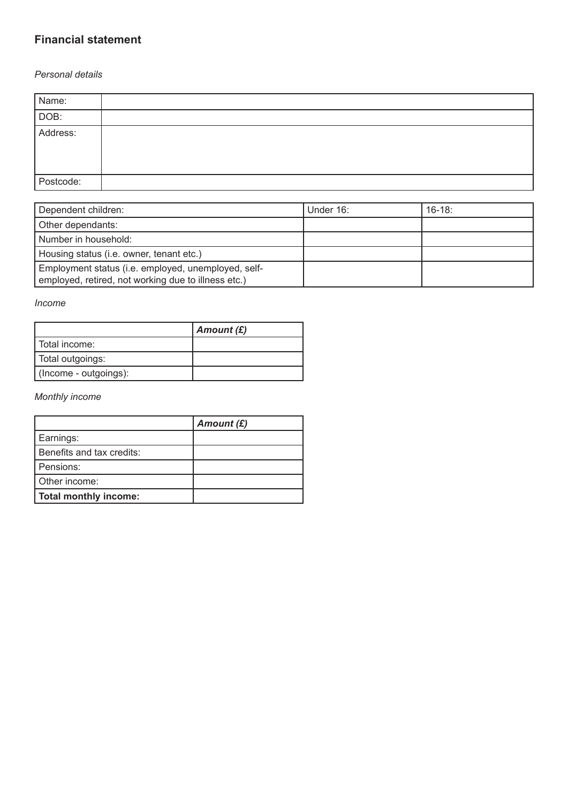## **Financial statement**

#### *Personal details*

| Name:     |  |
|-----------|--|
| DOB:      |  |
| Address:  |  |
| Postcode: |  |

| Dependent children:                                                                                        | Under 16: | $16-18$ |
|------------------------------------------------------------------------------------------------------------|-----------|---------|
| Other dependants:                                                                                          |           |         |
| Number in household:                                                                                       |           |         |
| Housing status (i.e. owner, tenant etc.)                                                                   |           |         |
| Employment status (i.e. employed, unemployed, self-<br>employed, retired, not working due to illness etc.) |           |         |

#### *Income*

|                       | Amount (£) |
|-----------------------|------------|
| l Total income:       |            |
| Total outgoings:      |            |
| (Income - outgoings): |            |

#### *Monthly income*

|                              | Amount $(E)$ |
|------------------------------|--------------|
| Earnings:                    |              |
| Benefits and tax credits:    |              |
| Pensions:                    |              |
| Other income:                |              |
| <b>Total monthly income:</b> |              |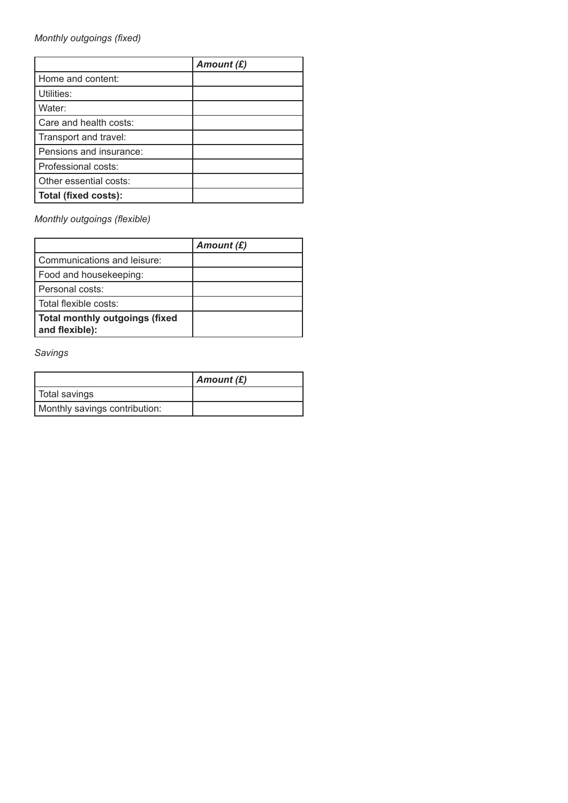*Monthly outgoings (fixed)*

|                         | Amount $(E)$ |
|-------------------------|--------------|
| Home and content:       |              |
| Utilities:              |              |
| Water:                  |              |
| Care and health costs:  |              |
| Transport and travel:   |              |
| Pensions and insurance: |              |
| Professional costs:     |              |
| Other essential costs:  |              |
| Total (fixed costs):    |              |

*Monthly outgoings (flexible)*

|                                                  | Amount $(E)$ |
|--------------------------------------------------|--------------|
| Communications and leisure:                      |              |
| Food and housekeeping:                           |              |
| Personal costs:                                  |              |
| l Total flexible costs:                          |              |
| Total monthly outgoings (fixed<br>and flexible): |              |

*Savings*

|                               | $\vert$ Amount (£) |
|-------------------------------|--------------------|
| ∣ Total savings               |                    |
| Monthly savings contribution: |                    |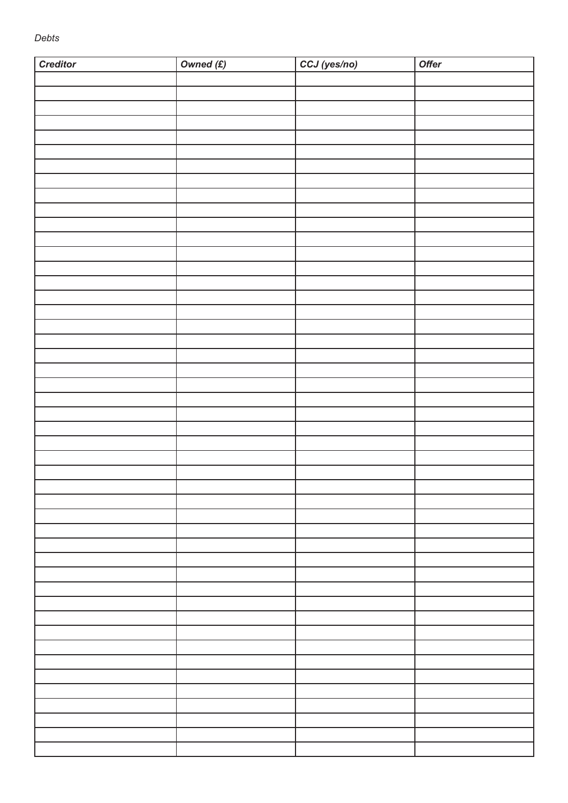| <b>Creditor</b> | Owned $(f)$ | CCJ (yes/no) | Offer |
|-----------------|-------------|--------------|-------|
|                 |             |              |       |
|                 |             |              |       |
|                 |             |              |       |
|                 |             |              |       |
|                 |             |              |       |
|                 |             |              |       |
|                 |             |              |       |
|                 |             |              |       |
|                 |             |              |       |
|                 |             |              |       |
|                 |             |              |       |
|                 |             |              |       |
|                 |             |              |       |
|                 |             |              |       |
|                 |             |              |       |
|                 |             |              |       |
|                 |             |              |       |
|                 |             |              |       |
|                 |             |              |       |
|                 |             |              |       |
|                 |             |              |       |
|                 |             |              |       |
|                 |             |              |       |
|                 |             |              |       |
|                 |             |              |       |
|                 |             |              |       |
|                 |             |              |       |
|                 |             |              |       |
|                 |             |              |       |
|                 |             |              |       |
|                 |             |              |       |
|                 |             |              |       |
|                 |             |              |       |
|                 |             |              |       |
|                 |             |              |       |
|                 |             |              |       |
|                 |             |              |       |
|                 |             |              |       |
|                 |             |              |       |
|                 |             |              |       |
|                 |             |              |       |
|                 |             |              |       |
|                 |             |              |       |
|                 |             |              |       |
|                 |             |              |       |
|                 |             |              |       |
|                 |             |              |       |
|                 |             |              |       |
|                 |             |              |       |
|                 |             |              |       |
|                 |             |              |       |
|                 |             |              |       |
|                 |             |              |       |
|                 |             |              |       |
|                 |             |              |       |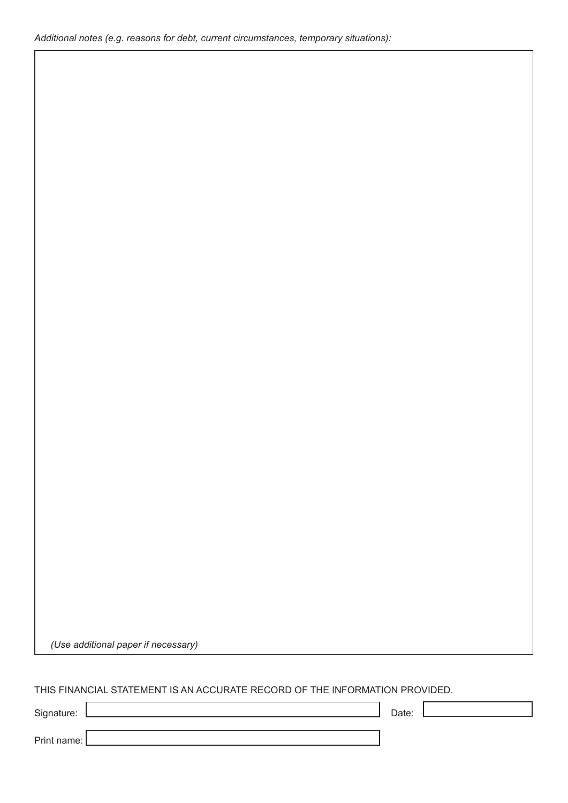*(Use additional paper if necessary)*

### THIS FINANCIAL STATEMENT IS AN ACCURATE RECORD OF THE INFORMATION PROVIDED.

Signature: Date: Date: Date: Date: Date: Date: Date: Date: Date: Date: Date: Date: Date: Date: Date: Date: Date: Date: Date: Date: Date: Date: Date: Date: Date: Date: Date: Date: Date: Date: Date: Date: Date: Date: Date: D

 $\overline{\phantom{a}}$ 

Print name: